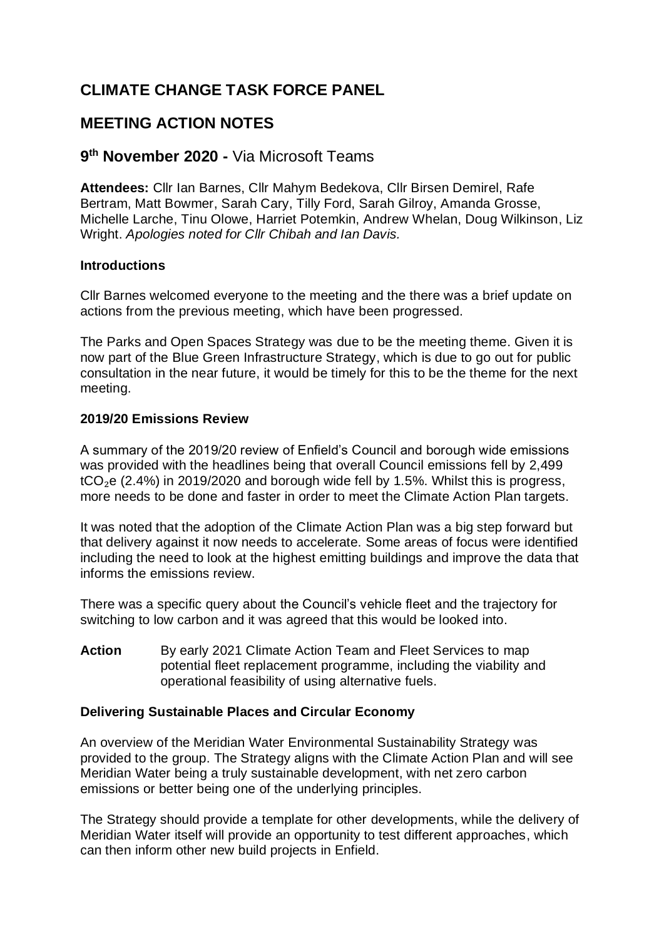# **CLIMATE CHANGE TASK FORCE PANEL**

## **MEETING ACTION NOTES**

## **9 th November 2020 -** Via Microsoft Teams

**Attendees:** Cllr Ian Barnes, Cllr Mahym Bedekova, Cllr Birsen Demirel, Rafe Bertram, Matt Bowmer, Sarah Cary, Tilly Ford, Sarah Gilroy, Amanda Grosse, Michelle Larche, Tinu Olowe, Harriet Potemkin, Andrew Whelan, Doug Wilkinson, Liz Wright. *Apologies noted for Cllr Chibah and Ian Davis.*

### **Introductions**

Cllr Barnes welcomed everyone to the meeting and the there was a brief update on actions from the previous meeting, which have been progressed.

The Parks and Open Spaces Strategy was due to be the meeting theme. Given it is now part of the Blue Green Infrastructure Strategy, which is due to go out for public consultation in the near future, it would be timely for this to be the theme for the next meeting.

### **2019/20 Emissions Review**

A summary of the 2019/20 review of Enfield's Council and borough wide emissions was provided with the headlines being that overall Council emissions fell by 2,499  $tCO<sub>2</sub>e$  (2.4%) in 2019/2020 and borough wide fell by 1.5%. Whilst this is progress, more needs to be done and faster in order to meet the Climate Action Plan targets.

It was noted that the adoption of the Climate Action Plan was a big step forward but that delivery against it now needs to accelerate. Some areas of focus were identified including the need to look at the highest emitting buildings and improve the data that informs the emissions review.

There was a specific query about the Council's vehicle fleet and the trajectory for switching to low carbon and it was agreed that this would be looked into.

Action By early 2021 Climate Action Team and Fleet Services to map potential fleet replacement programme, including the viability and operational feasibility of using alternative fuels.

#### **Delivering Sustainable Places and Circular Economy**

An overview of the Meridian Water Environmental Sustainability Strategy was provided to the group. The Strategy aligns with the Climate Action Plan and will see Meridian Water being a truly sustainable development, with net zero carbon emissions or better being one of the underlying principles.

The Strategy should provide a template for other developments, while the delivery of Meridian Water itself will provide an opportunity to test different approaches, which can then inform other new build projects in Enfield.